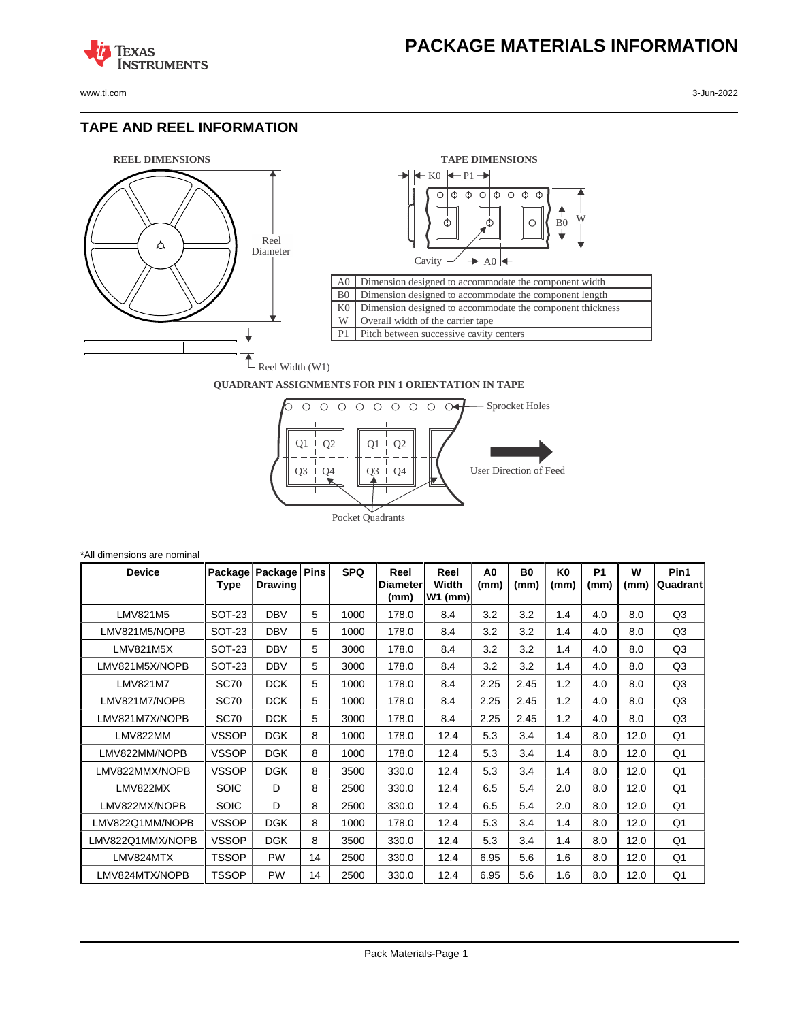**TEXAS** 

#### **TAPE AND REEL INFORMATION**

**ISTRUMENTS** 





#### **QUADRANT ASSIGNMENTS FOR PIN 1 ORIENTATION IN TAPE**



| *All dimensions are nominal |                 |                           |             |            |                          |                            |                        |            |                        |                   |           |                  |
|-----------------------------|-----------------|---------------------------|-------------|------------|--------------------------|----------------------------|------------------------|------------|------------------------|-------------------|-----------|------------------|
| <b>Device</b>               | Package<br>Type | Package<br><b>Drawing</b> | <b>Pins</b> | <b>SPQ</b> | Reel<br>Diameter<br>(mm) | Reel<br>Width<br>$W1$ (mm) | A <sub>0</sub><br>(mm) | B0<br>(mm) | K <sub>0</sub><br>(mm) | <b>P1</b><br>(mm) | W<br>(mm) | Pin1<br>Quadrant |
| LMV821M5                    | <b>SOT-23</b>   | <b>DBV</b>                | 5           | 1000       | 178.0                    | 8.4                        | 3.2                    | 3.2        | 1.4                    | 4.0               | 8.0       | Q <sub>3</sub>   |
| LMV821M5/NOPB               | SOT-23          | <b>DBV</b>                | 5           | 1000       | 178.0                    | 8.4                        | 3.2                    | 3.2        | 1.4                    | 4.0               | 8.0       | Q <sub>3</sub>   |
| LMV821M5X                   | <b>SOT-23</b>   | <b>DBV</b>                | 5           | 3000       | 178.0                    | 8.4                        | 3.2                    | 3.2        | 1.4                    | 4.0               | 8.0       | Q <sub>3</sub>   |
| LMV821M5X/NOPB              | SOT-23          | <b>DBV</b>                | 5           | 3000       | 178.0                    | 8.4                        | 3.2                    | 3.2        | 1.4                    | 4.0               | 8.0       | Q <sub>3</sub>   |
| <b>LMV821M7</b>             | <b>SC70</b>     | <b>DCK</b>                | 5           | 1000       | 178.0                    | 8.4                        | 2.25                   | 2.45       | 1.2                    | 4.0               | 8.0       | Q <sub>3</sub>   |
| LMV821M7/NOPB               | <b>SC70</b>     | <b>DCK</b>                | 5           | 1000       | 178.0                    | 8.4                        | 2.25                   | 2.45       | 1.2                    | 4.0               | 8.0       | Q <sub>3</sub>   |
| LMV821M7X/NOPB              | <b>SC70</b>     | <b>DCK</b>                | 5           | 3000       | 178.0                    | 8.4                        | 2.25                   | 2.45       | 1.2                    | 4.0               | 8.0       | Q <sub>3</sub>   |
| LMV822MM                    | <b>VSSOP</b>    | <b>DGK</b>                | 8           | 1000       | 178.0                    | 12.4                       | 5.3                    | 3.4        | 1.4                    | 8.0               | 12.0      | Q <sub>1</sub>   |
| LMV822MM/NOPB               | <b>VSSOP</b>    | <b>DGK</b>                | 8           | 1000       | 178.0                    | 12.4                       | 5.3                    | 3.4        | 1.4                    | 8.0               | 12.0      | Q <sub>1</sub>   |
| LMV822MMX/NOPB              | <b>VSSOP</b>    | <b>DGK</b>                | 8           | 3500       | 330.0                    | 12.4                       | 5.3                    | 3.4        | 1.4                    | 8.0               | 12.0      | Q <sub>1</sub>   |
| LMV822MX                    | <b>SOIC</b>     | D                         | 8           | 2500       | 330.0                    | 12.4                       | 6.5                    | 5.4        | 2.0                    | 8.0               | 12.0      | Q <sub>1</sub>   |
| LMV822MX/NOPB               | <b>SOIC</b>     | D                         | 8           | 2500       | 330.0                    | 12.4                       | 6.5                    | 5.4        | 2.0                    | 8.0               | 12.0      | Q <sub>1</sub>   |
| LMV822Q1MM/NOPB             | <b>VSSOP</b>    | <b>DGK</b>                | 8           | 1000       | 178.0                    | 12.4                       | 5.3                    | 3.4        | 1.4                    | 8.0               | 12.0      | Q <sub>1</sub>   |
| LMV822Q1MMX/NOPB            | <b>VSSOP</b>    | <b>DGK</b>                | 8           | 3500       | 330.0                    | 12.4                       | 5.3                    | 3.4        | 1.4                    | 8.0               | 12.0      | Q <sub>1</sub>   |
| LMV824MTX                   | <b>TSSOP</b>    | <b>PW</b>                 | 14          | 2500       | 330.0                    | 12.4                       | 6.95                   | 5.6        | 1.6                    | 8.0               | 12.0      | Q <sub>1</sub>   |
| LMV824MTX/NOPB              | <b>TSSOP</b>    | PW                        | 14          | 2500       | 330.0                    | 12.4                       | 6.95                   | 5.6        | 1.6                    | 8.0               | 12.0      | Q <sub>1</sub>   |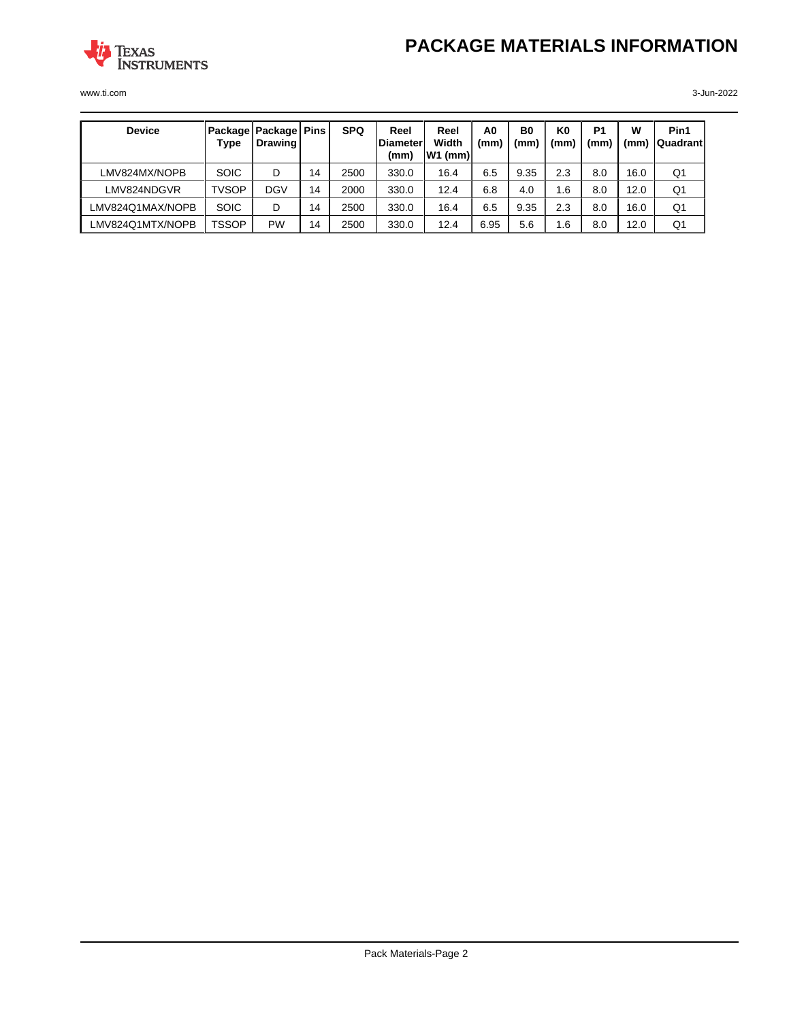



| <b>Device</b>    | Package   Package   Pins<br>Type | Drawing I  |    | <b>SPQ</b> | Reel<br>Diameter<br>(mm) | Reel<br>Width<br>W1 (mm) | A <sub>0</sub><br>(mm) | B <sub>0</sub><br>(mm | K0<br>(mm' | P <sub>1</sub><br>(mm) | w<br>(mm) | Pin1<br><b>Quadrant</b> |
|------------------|----------------------------------|------------|----|------------|--------------------------|--------------------------|------------------------|-----------------------|------------|------------------------|-----------|-------------------------|
| LMV824MX/NOPB    | <b>SOIC</b>                      | D          | 14 | 2500       | 330.0                    | 16.4                     | 6.5                    | 9.35                  | 2.3        | 8.0                    | 16.0      | Q1                      |
| LMV824NDGVR      | TVSOP                            | <b>DGV</b> | 14 | 2000       | 330.0                    | 12.4                     | 6.8                    | 4.0                   | .6،        | 8.0                    | 12.0      | Q <sub>1</sub>          |
| LMV824Q1MAX/NOPB | <b>SOIC</b>                      | D          | 14 | 2500       | 330.0                    | 16.4                     | 6.5                    | 9.35                  | 2.3        | 8.0                    | 16.0      | Q1                      |
| LMV824Q1MTX/NOPB | <b>TSSOP</b>                     | PW         | 14 | 2500       | 330.0                    | 12.4                     | 6.95                   | 5.6                   | . 6        | 8.0                    | 12.0      | Q <sub>1</sub>          |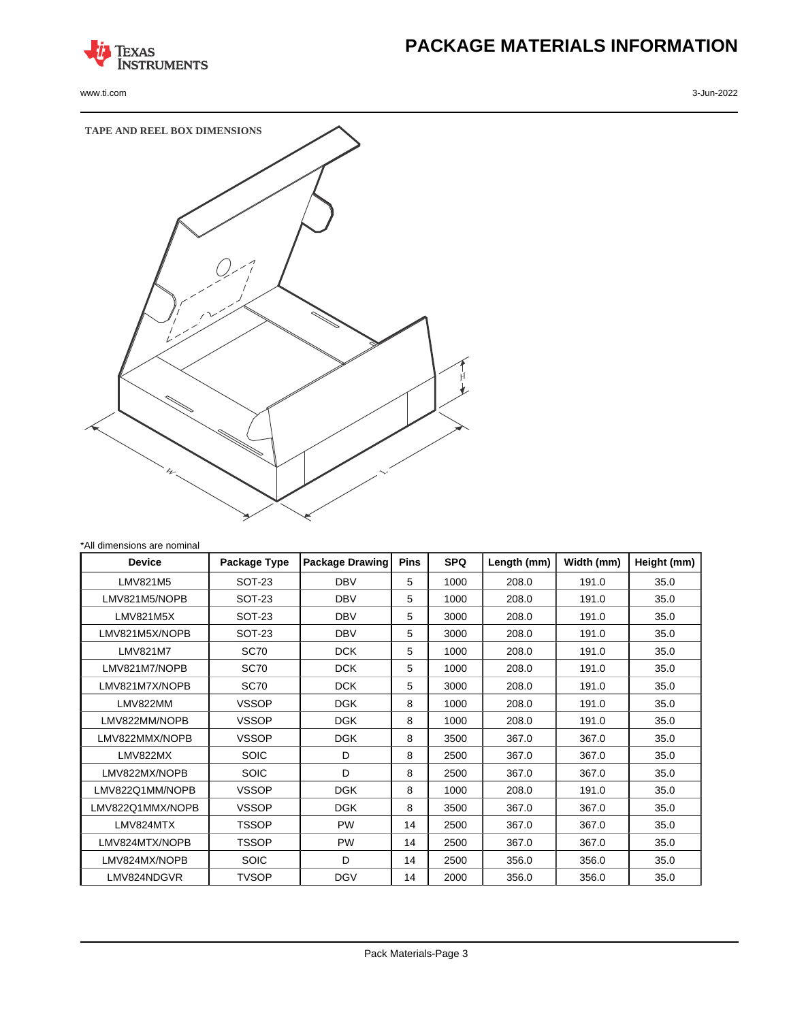

# **PACKAGE MATERIALS INFORMATION**



| <b>Device</b>    | Package Type  | <b>Package Drawing</b> | <b>Pins</b> | <b>SPQ</b> | Length (mm) | Width (mm) | Height (mm) |
|------------------|---------------|------------------------|-------------|------------|-------------|------------|-------------|
| LMV821M5         | <b>SOT-23</b> | <b>DBV</b>             | 5           | 1000       | 208.0       | 191.0      | 35.0        |
| LMV821M5/NOPB    | <b>SOT-23</b> | <b>DBV</b>             | 5           | 1000       | 208.0       | 191.0      | 35.0        |
| <b>LMV821M5X</b> | <b>SOT-23</b> | <b>DBV</b>             | 5           | 3000       | 208.0       | 191.0      | 35.0        |
| LMV821M5X/NOPB   | <b>SOT-23</b> | <b>DBV</b>             | 5           | 3000       | 208.0       | 191.0      | 35.0        |
| <b>LMV821M7</b>  | <b>SC70</b>   | <b>DCK</b>             | 5           | 1000       | 208.0       | 191.0      | 35.0        |
| LMV821M7/NOPB    | <b>SC70</b>   | <b>DCK</b>             | 5           | 1000       | 208.0       | 191.0      | 35.0        |
| LMV821M7X/NOPB   | <b>SC70</b>   | <b>DCK</b>             | 5           | 3000       | 208.0       | 191.0      | 35.0        |
| LMV822MM         | <b>VSSOP</b>  | <b>DGK</b>             | 8           | 1000       | 208.0       | 191.0      | 35.0        |
| LMV822MM/NOPB    | <b>VSSOP</b>  | <b>DGK</b>             | 8           | 1000       | 208.0       | 191.0      | 35.0        |
| LMV822MMX/NOPB   | <b>VSSOP</b>  | <b>DGK</b>             | 8           | 3500       | 367.0       | 367.0      | 35.0        |
| LMV822MX         | <b>SOIC</b>   | D                      | 8           | 2500       | 367.0       | 367.0      | 35.0        |
| LMV822MX/NOPB    | <b>SOIC</b>   | D                      | 8           | 2500       | 367.0       | 367.0      | 35.0        |
| LMV822Q1MM/NOPB  | <b>VSSOP</b>  | <b>DGK</b>             | 8           | 1000       | 208.0       | 191.0      | 35.0        |
| LMV822Q1MMX/NOPB | <b>VSSOP</b>  | <b>DGK</b>             | 8           | 3500       | 367.0       | 367.0      | 35.0        |
| LMV824MTX        | <b>TSSOP</b>  | <b>PW</b>              | 14          | 2500       | 367.0       | 367.0      | 35.0        |
| LMV824MTX/NOPB   | <b>TSSOP</b>  | PW                     | 14          | 2500       | 367.0       | 367.0      | 35.0        |
| LMV824MX/NOPB    | <b>SOIC</b>   | D                      | 14          | 2500       | 356.0       | 356.0      | 35.0        |
| LMV824NDGVR      | <b>TVSOP</b>  | <b>DGV</b>             | 14          | 2000       | 356.0       | 356.0      | 35.0        |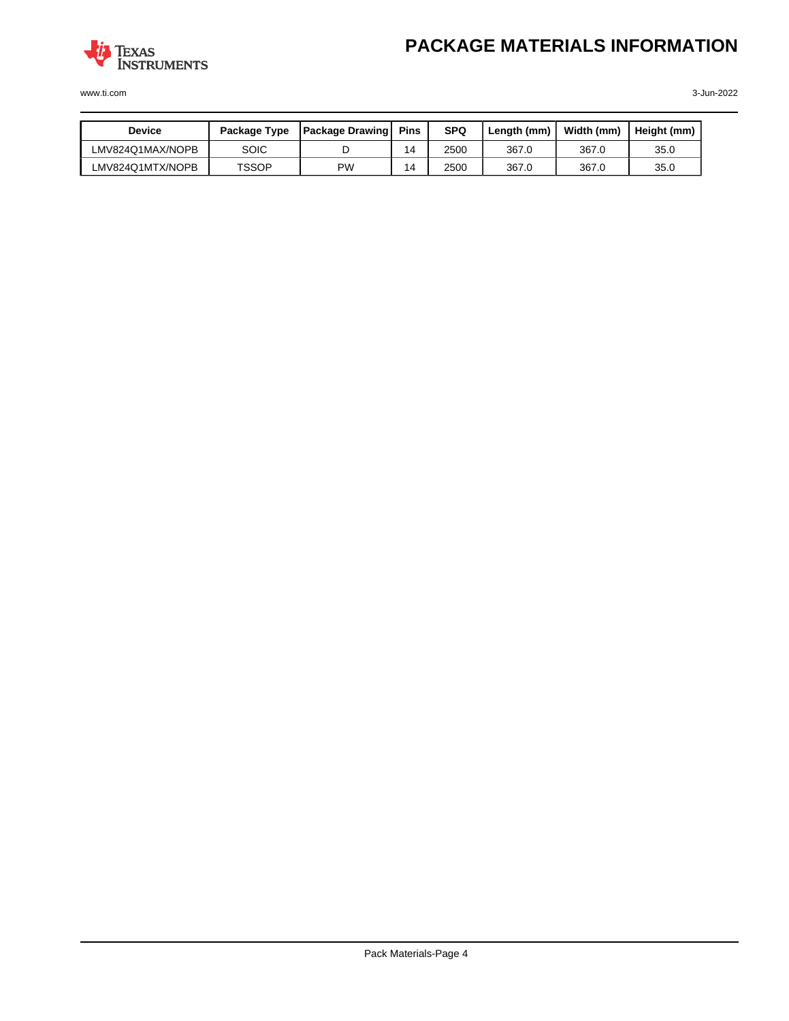

| Device           | Package Type | <b>Package Drawing</b> | Pins | <b>SPQ</b> | Length (mm) | Width (mm) | Height (mm) |
|------------------|--------------|------------------------|------|------------|-------------|------------|-------------|
| LMV824Q1MAX/NOPB | SOIC         |                        | 14   | 2500       | 367.0       | 367.0      | 35.0        |
| LMV824Q1MTX/NOPB | TSSOP        | PW                     | 14   | 2500       | 367.0       | 367.0      | 35.0        |